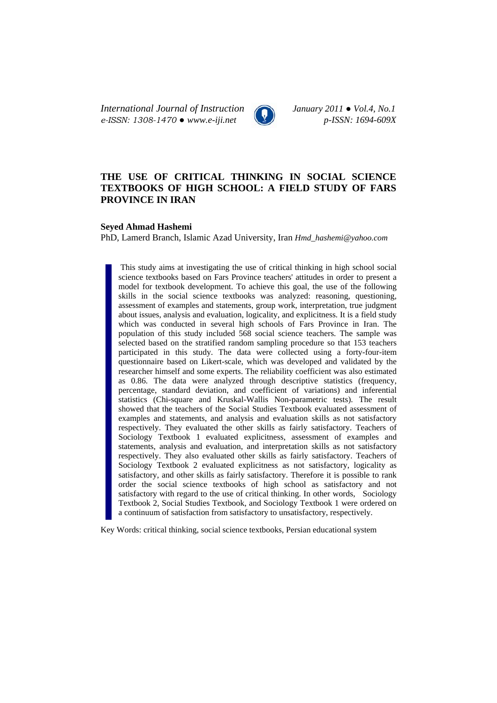*International Journal of Instruction January 2011 ● Vol.4, No.1 e-ISSN: 1308-1470 ● www.e-iji.net p-ISSN: 1694-609X*



# **THE USE OF CRITICAL THINKING IN SOCIAL SCIENCE TEXTBOOKS OF HIGH SCHOOL: A FIELD STUDY OF FARS PROVINCE IN IRAN**

### **Seyed Ahmad Hashemi**

PhD, Lamerd Branch, Islamic Azad University, Iran *Hmd\_hashemi@yahoo.com*

 This study aims at investigating the use of critical thinking in high school social science textbooks based on Fars Province teachers' attitudes in order to present a model for textbook development. To achieve this goal, the use of the following skills in the social science textbooks was analyzed: reasoning, questioning, assessment of examples and statements, group work, interpretation, true judgment about issues, analysis and evaluation, logicality, and explicitness. It is a field study which was conducted in several high schools of Fars Province in Iran. The population of this study included 568 social science teachers. The sample was selected based on the stratified random sampling procedure so that 153 teachers participated in this study. The data were collected using a forty-four-item questionnaire based on Likert-scale, which was developed and validated by the researcher himself and some experts. The reliability coefficient was also estimated as 0.86. The data were analyzed through descriptive statistics (frequency, percentage, standard deviation, and coefficient of variations) and inferential statistics (Chi-square and Kruskal-Wallis Non-parametric tests). The result showed that the teachers of the Social Studies Textbook evaluated assessment of examples and statements, and analysis and evaluation skills as not satisfactory respectively. They evaluated the other skills as fairly satisfactory. Teachers of Sociology Textbook 1 evaluated explicitness, assessment of examples and statements, analysis and evaluation, and interpretation skills as not satisfactory respectively. They also evaluated other skills as fairly satisfactory. Teachers of Sociology Textbook 2 evaluated explicitness as not satisfactory, logicality as satisfactory, and other skills as fairly satisfactory. Therefore it is possible to rank order the social science textbooks of high school as satisfactory and not satisfactory with regard to the use of critical thinking. In other words, Sociology Textbook 2, Social Studies Textbook, and Sociology Textbook 1 were ordered on a continuum of satisfaction from satisfactory to unsatisfactory, respectively.

Key Words: critical thinking, social science textbooks, Persian educational system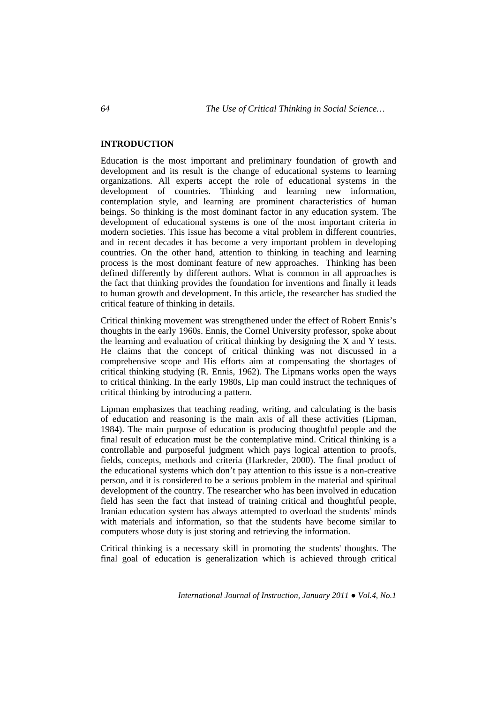## **INTRODUCTION**

Education is the most important and preliminary foundation of growth and development and its result is the change of educational systems to learning organizations. All experts accept the role of educational systems in the development of countries. Thinking and learning new information, contemplation style, and learning are prominent characteristics of human beings. So thinking is the most dominant factor in any education system. The development of educational systems is one of the most important criteria in modern societies. This issue has become a vital problem in different countries, and in recent decades it has become a very important problem in developing countries. On the other hand, attention to thinking in teaching and learning process is the most dominant feature of new approaches. Thinking has been defined differently by different authors. What is common in all approaches is the fact that thinking provides the foundation for inventions and finally it leads to human growth and development. In this article, the researcher has studied the critical feature of thinking in details.

Critical thinking movement was strengthened under the effect of Robert Ennis's thoughts in the early 1960s. Ennis, the Cornel University professor, spoke about the learning and evaluation of critical thinking by designing the X and Y tests. He claims that the concept of critical thinking was not discussed in a comprehensive scope and His efforts aim at compensating the shortages of critical thinking studying (R. Ennis, 1962). The Lipmans works open the ways to critical thinking. In the early 1980s, Lip man could instruct the techniques of critical thinking by introducing a pattern.

Lipman emphasizes that teaching reading, writing, and calculating is the basis of education and reasoning is the main axis of all these activities (Lipman, 1984). The main purpose of education is producing thoughtful people and the final result of education must be the contemplative mind. Critical thinking is a controllable and purposeful judgment which pays logical attention to proofs, fields, concepts, methods and criteria (Harkreder, 2000). The final product of the educational systems which don't pay attention to this issue is a non-creative person, and it is considered to be a serious problem in the material and spiritual development of the country. The researcher who has been involved in education field has seen the fact that instead of training critical and thoughtful people, Iranian education system has always attempted to overload the students' minds with materials and information, so that the students have become similar to computers whose duty is just storing and retrieving the information.

Critical thinking is a necessary skill in promoting the students' thoughts. The final goal of education is generalization which is achieved through critical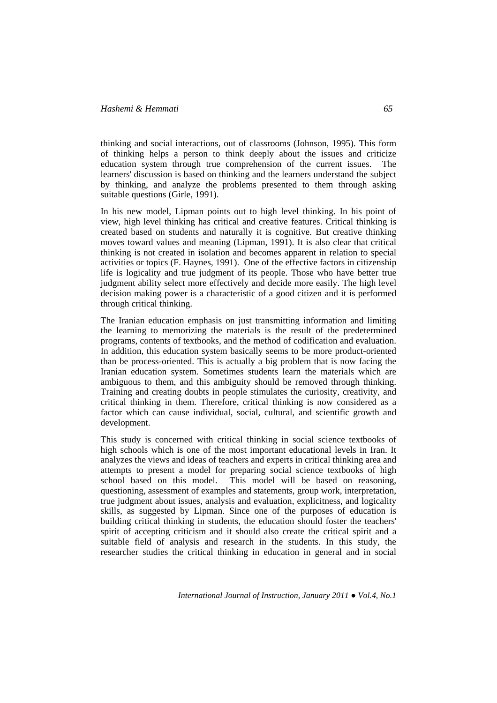thinking and social interactions, out of classrooms (Johnson, 1995). This form of thinking helps a person to think deeply about the issues and criticize education system through true comprehension of the current issues. The learners' discussion is based on thinking and the learners understand the subject by thinking, and analyze the problems presented to them through asking suitable questions (Girle, 1991).

In his new model, Lipman points out to high level thinking. In his point of view, high level thinking has critical and creative features. Critical thinking is created based on students and naturally it is cognitive. But creative thinking moves toward values and meaning (Lipman, 1991). It is also clear that critical thinking is not created in isolation and becomes apparent in relation to special activities or topics (F. Haynes, 1991). One of the effective factors in citizenship life is logicality and true judgment of its people. Those who have better true judgment ability select more effectively and decide more easily. The high level decision making power is a characteristic of a good citizen and it is performed through critical thinking.

The Iranian education emphasis on just transmitting information and limiting the learning to memorizing the materials is the result of the predetermined programs, contents of textbooks, and the method of codification and evaluation. In addition, this education system basically seems to be more product-oriented than be process-oriented. This is actually a big problem that is now facing the Iranian education system. Sometimes students learn the materials which are ambiguous to them, and this ambiguity should be removed through thinking. Training and creating doubts in people stimulates the curiosity, creativity, and critical thinking in them. Therefore, critical thinking is now considered as a factor which can cause individual, social, cultural, and scientific growth and development.

This study is concerned with critical thinking in social science textbooks of high schools which is one of the most important educational levels in Iran. It analyzes the views and ideas of teachers and experts in critical thinking area and attempts to present a model for preparing social science textbooks of high school based on this model. This model will be based on reasoning, questioning, assessment of examples and statements, group work, interpretation, true judgment about issues, analysis and evaluation, explicitness, and logicality skills, as suggested by Lipman. Since one of the purposes of education is building critical thinking in students, the education should foster the teachers' spirit of accepting criticism and it should also create the critical spirit and a suitable field of analysis and research in the students. In this study, the researcher studies the critical thinking in education in general and in social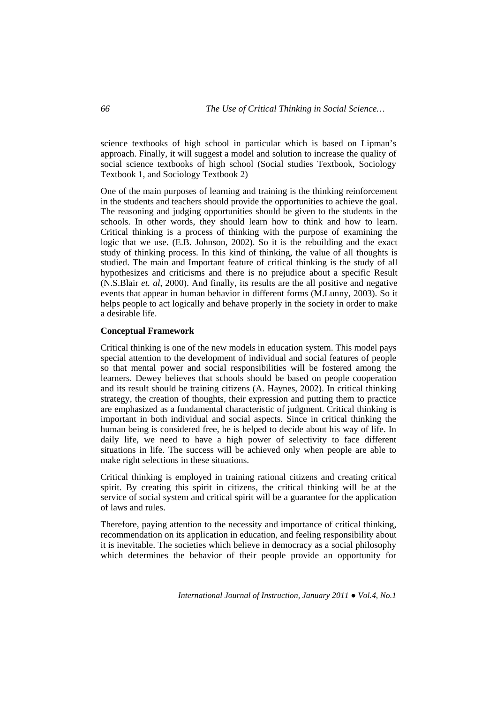science textbooks of high school in particular which is based on Lipman's approach. Finally, it will suggest a model and solution to increase the quality of social science textbooks of high school (Social studies Textbook, Sociology Textbook 1, and Sociology Textbook 2)

One of the main purposes of learning and training is the thinking reinforcement in the students and teachers should provide the opportunities to achieve the goal. The reasoning and judging opportunities should be given to the students in the schools. In other words, they should learn how to think and how to learn. Critical thinking is a process of thinking with the purpose of examining the logic that we use. (E.B. Johnson, 2002). So it is the rebuilding and the exact study of thinking process. In this kind of thinking, the value of all thoughts is studied. The main and Important feature of critical thinking is the study of all hypothesizes and criticisms and there is no prejudice about a specific Result (N.S.Blair *et. al*, 2000). And finally, its results are the all positive and negative events that appear in human behavior in different forms (M.Lunny, 2003). So it helps people to act logically and behave properly in the society in order to make a desirable life.

### **Conceptual Framework**

Critical thinking is one of the new models in education system. This model pays special attention to the development of individual and social features of people so that mental power and social responsibilities will be fostered among the learners. Dewey believes that schools should be based on people cooperation and its result should be training citizens (A. Haynes, 2002). In critical thinking strategy, the creation of thoughts, their expression and putting them to practice are emphasized as a fundamental characteristic of judgment. Critical thinking is important in both individual and social aspects. Since in critical thinking the human being is considered free, he is helped to decide about his way of life. In daily life, we need to have a high power of selectivity to face different situations in life. The success will be achieved only when people are able to make right selections in these situations.

Critical thinking is employed in training rational citizens and creating critical spirit. By creating this spirit in citizens, the critical thinking will be at the service of social system and critical spirit will be a guarantee for the application of laws and rules.

Therefore, paying attention to the necessity and importance of critical thinking, recommendation on its application in education, and feeling responsibility about it is inevitable. The societies which believe in democracy as a social philosophy which determines the behavior of their people provide an opportunity for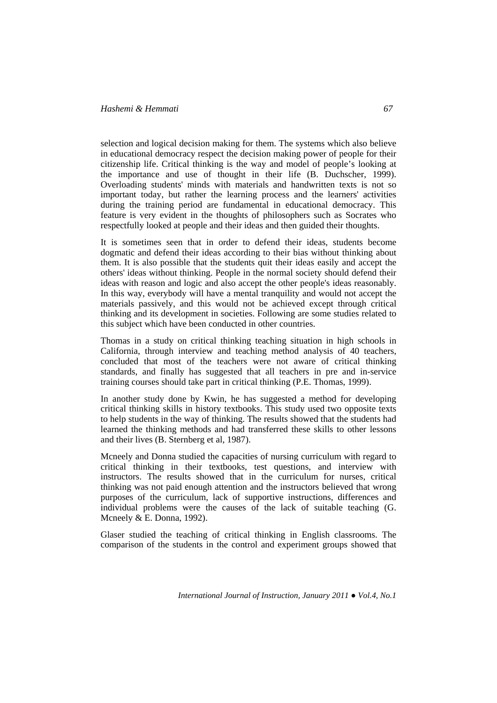selection and logical decision making for them. The systems which also believe in educational democracy respect the decision making power of people for their citizenship life. Critical thinking is the way and model of people's looking at the importance and use of thought in their life (B. Duchscher, 1999). Overloading students' minds with materials and handwritten texts is not so important today, but rather the learning process and the learners' activities during the training period are fundamental in educational democracy. This feature is very evident in the thoughts of philosophers such as Socrates who respectfully looked at people and their ideas and then guided their thoughts.

It is sometimes seen that in order to defend their ideas, students become dogmatic and defend their ideas according to their bias without thinking about them. It is also possible that the students quit their ideas easily and accept the others' ideas without thinking. People in the normal society should defend their ideas with reason and logic and also accept the other people's ideas reasonably. In this way, everybody will have a mental tranquility and would not accept the materials passively, and this would not be achieved except through critical thinking and its development in societies. Following are some studies related to this subject which have been conducted in other countries.

Thomas in a study on critical thinking teaching situation in high schools in California, through interview and teaching method analysis of 40 teachers, concluded that most of the teachers were not aware of critical thinking standards, and finally has suggested that all teachers in pre and in-service training courses should take part in critical thinking (P.E. Thomas, 1999).

In another study done by Kwin, he has suggested a method for developing critical thinking skills in history textbooks. This study used two opposite texts to help students in the way of thinking. The results showed that the students had learned the thinking methods and had transferred these skills to other lessons and their lives (B. Sternberg et al, 1987).

Mcneely and Donna studied the capacities of nursing curriculum with regard to critical thinking in their textbooks, test questions, and interview with instructors. The results showed that in the curriculum for nurses, critical thinking was not paid enough attention and the instructors believed that wrong purposes of the curriculum, lack of supportive instructions, differences and individual problems were the causes of the lack of suitable teaching (G. Mcneely & E. Donna, 1992).

Glaser studied the teaching of critical thinking in English classrooms. The comparison of the students in the control and experiment groups showed that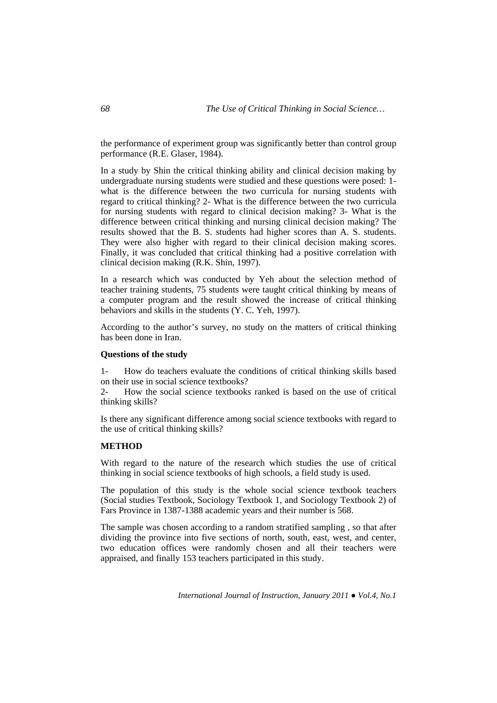the performance of experiment group was significantly better than control group performance (R.E. Glaser, 1984).

In a study by Shin the critical thinking ability and clinical decision making by undergraduate nursing students were studied and these questions were posed: 1 what is the difference between the two curricula for nursing students with regard to critical thinking? 2- What is the difference between the two curricula for nursing students with regard to clinical decision making? 3- What is the difference between critical thinking and nursing clinical decision making? The results showed that the B. S. students had higher scores than A. S. students. They were also higher with regard to their clinical decision making scores. Finally, it was concluded that critical thinking had a positive correlation with clinical decision making (R.K. Shin, 1997).

In a research which was conducted by Yeh about the selection method of teacher training students, 75 students were taught critical thinking by means of a computer program and the result showed the increase of critical thinking behaviors and skills in the students (Y. C. Yeh, 1997).

According to the author's survey, no study on the matters of critical thinking has been done in Iran.

### **Questions of the study**

1- How do teachers evaluate the conditions of critical thinking skills based on their use in social science textbooks?

2- How the social science textbooks ranked is based on the use of critical thinking skills?

Is there any significant difference among social science textbooks with regard to the use of critical thinking skills?

#### **METHOD**

With regard to the nature of the research which studies the use of critical thinking in social science textbooks of high schools, a field study is used.

The population of this study is the whole social science textbook teachers (Social studies Textbook, Sociology Textbook 1, and Sociology Textbook 2) of Fars Province in 1387-1388 academic years and their number is 568.

The sample was chosen according to a random stratified sampling , so that after dividing the province into five sections of north, south, east, west, and center, two education offices were randomly chosen and all their teachers were appraised, and finally 153 teachers participated in this study.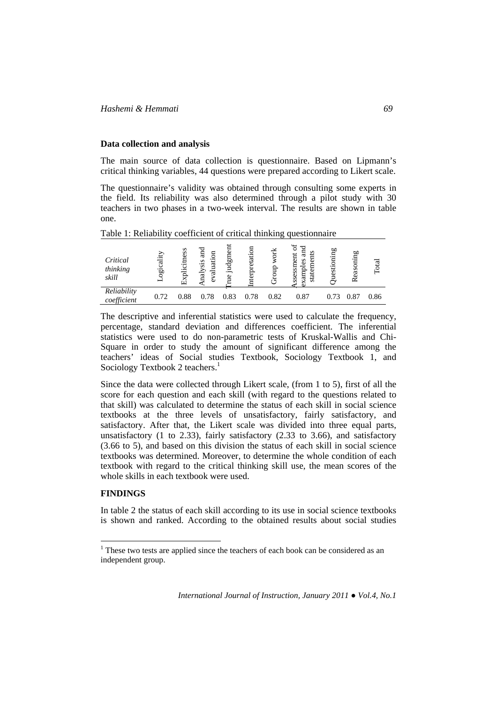### **Data collection and analysis**

The main source of data collection is questionnaire. Based on Lipmann's critical thinking variables, 44 questions were prepared according to Likert scale.

The questionnaire's validity was obtained through consulting some experts in the field. Its reliability was also determined through a pilot study with 30 teachers in two phases in a two-week interval. The results are shown in table one.

| Table 1: Reliability coefficient of critical thinking questionnaire |           |                 |                                    |         |      |      |                      |       |               |       |
|---------------------------------------------------------------------|-----------|-----------------|------------------------------------|---------|------|------|----------------------|-------|---------------|-------|
| Critical<br>thinking<br>skill                                       | ogicality | ess<br>rplicitn | аnd<br>5<br>iati<br>nalysis<br>alu | judgmen | tati | đń   | S<br>ssessm<br>xampl | oning | easoning<br>≃ | Total |
| Reliability<br>coefficient                                          | 0.72      | 0.88            | 0.78                               | 0.83    | 0.78 | 0.82 | 0.87                 | 0.73  | 0.87          | 0.86  |

The descriptive and inferential statistics were used to calculate the frequency, percentage, standard deviation and differences coefficient. The inferential statistics were used to do non-parametric tests of Kruskal-Wallis and Chi-Square in order to study the amount of significant difference among the teachers' ideas of Social studies Textbook, Sociology Textbook 1, and Sociology Textbook 2 teachers.<sup>1</sup>

Since the data were collected through Likert scale, (from 1 to 5), first of all the score for each question and each skill (with regard to the questions related to that skill) was calculated to determine the status of each skill in social science textbooks at the three levels of unsatisfactory, fairly satisfactory, and satisfactory. After that, the Likert scale was divided into three equal parts, unsatisfactory (1 to 2.33), fairly satisfactory (2.33 to 3.66), and satisfactory (3.66 to 5), and based on this division the status of each skill in social science textbooks was determined. Moreover, to determine the whole condition of each textbook with regard to the critical thinking skill use, the mean scores of the whole skills in each textbook were used.

# **FINDINGS**

 $\overline{a}$ 

In table 2 the status of each skill according to its use in social science textbooks is shown and ranked. According to the obtained results about social studies

 $1$ <sup>1</sup> These two tests are applied since the teachers of each book can be considered as an independent group.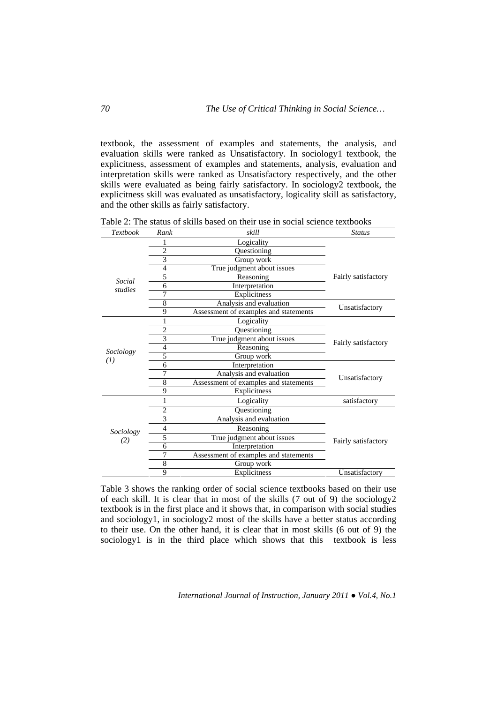textbook, the assessment of examples and statements, the analysis, and evaluation skills were ranked as Unsatisfactory. In sociology1 textbook, the explicitness, assessment of examples and statements, analysis, evaluation and interpretation skills were ranked as Unsatisfactory respectively, and the other skills were evaluated as being fairly satisfactory. In sociology2 textbook, the explicitness skill was evaluated as unsatisfactory, logicality skill as satisfactory, and the other skills as fairly satisfactory.

Table 2: The status of skills based on their use in social science textbooks

| Textbook          | Rank           | skill                                 | <b>Status</b>       |  |  |
|-------------------|----------------|---------------------------------------|---------------------|--|--|
|                   | 1              | Logicality                            |                     |  |  |
|                   | 2              | Questioning                           |                     |  |  |
|                   | 3              | Group work                            |                     |  |  |
|                   | 4              | True judgment about issues            | Fairly satisfactory |  |  |
| Social            | 5              | Reasoning                             |                     |  |  |
| studies           | 6              | Interpretation                        |                     |  |  |
|                   | 7              | Explicitness                          |                     |  |  |
|                   | 8              | Analysis and evaluation               | Unsatisfactory      |  |  |
|                   | 9              | Assessment of examples and statements |                     |  |  |
|                   | 1              | Logicality                            |                     |  |  |
|                   | $\overline{2}$ | Questioning                           |                     |  |  |
|                   | 3              | True judgment about issues            | Fairly satisfactory |  |  |
| Sociology         | $\overline{4}$ | Reasoning                             |                     |  |  |
| $\left( I\right)$ | 5              | Group work                            |                     |  |  |
|                   | 6              | Interpretation                        |                     |  |  |
|                   | 7              | Analysis and evaluation               | Unsatisfactory      |  |  |
|                   | 8              | Assessment of examples and statements |                     |  |  |
|                   | 9              | Explicitness                          |                     |  |  |
|                   | 1              | Logicality                            | satisfactory        |  |  |
|                   | $\overline{c}$ | Questioning                           |                     |  |  |
| Sociology<br>(2)  | 3              | Analysis and evaluation               |                     |  |  |
|                   | $\overline{4}$ | Reasoning                             | Fairly satisfactory |  |  |
|                   | 5              | True judgment about issues            |                     |  |  |
|                   | 6              | Interpretation                        |                     |  |  |
|                   |                | Assessment of examples and statements |                     |  |  |
|                   | 8              | Group work                            |                     |  |  |
|                   | 9              | Explicitness                          | Unsatisfactory      |  |  |

Table 3 shows the ranking order of social science textbooks based on their use of each skill. It is clear that in most of the skills (7 out of 9) the sociology2 textbook is in the first place and it shows that, in comparison with social studies and sociology1, in sociology2 most of the skills have a better status according to their use. On the other hand, it is clear that in most skills (6 out of 9) the sociology1 is in the third place which shows that this textbook is less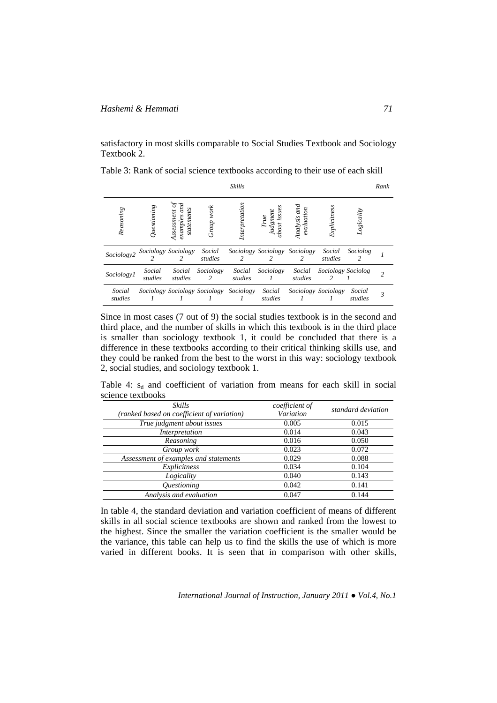satisfactory in most skills comparable to Social Studies Textbook and Sociology Textbook 2.

|                   |                         |                                      |                               | <b>Skills</b>     |                                    |                            |                     |                   | Rank |
|-------------------|-------------------------|--------------------------------------|-------------------------------|-------------------|------------------------------------|----------------------------|---------------------|-------------------|------|
| Reasoning         | $\mathcal Q$ uestioning | statements<br>Assessment<br>examples | Group work                    | Interpretation    | judgment<br>about issue:<br>The    | Analysis and<br>evaluation | Explicitness        | Logicality        |      |
| Sociology2        |                         | Sociology Sociology<br>2             | Social<br>studies             | $\mathcal{L}$     | Sociology Sociology Sociology<br>2 | 2                          | Social<br>studies   | Sociolog<br>2     |      |
| Sociology1        | Social<br>studies       | Social<br>studies                    | Sociology<br>2                | Social<br>studies | Sociology                          | Social<br>studies          | Sociology Sociolog  |                   |      |
| Social<br>studies |                         |                                      | Sociology Sociology Sociology | Sociology         | Social<br>studies                  |                            | Sociology Sociology | Social<br>studies | 3    |

Table 3: Rank of social science textbooks according to their use of each skill

Since in most cases (7 out of 9) the social studies textbook is in the second and third place, and the number of skills in which this textbook is in the third place is smaller than sociology textbook 1, it could be concluded that there is a difference in these textbooks according to their critical thinking skills use, and they could be ranked from the best to the worst in this way: sociology textbook 2, social studies, and sociology textbook 1.

Table 4:  $s_d$  and coefficient of variation from means for each skill in social science textbooks

| <b>Skills</b><br>(ranked based on coefficient of variation) | coefficient of<br>Variation | standard deviation |
|-------------------------------------------------------------|-----------------------------|--------------------|
| True judgment about issues                                  | 0.005                       | 0.015              |
| Interpretation                                              | 0.014                       | 0.043              |
| Reasoning                                                   | 0.016                       | 0.050              |
| Group work                                                  | 0.023                       | 0.072              |
| Assessment of examples and statements                       | 0.029                       | 0.088              |
| Explicitness                                                | 0.034                       | 0.104              |
| Logicality                                                  | 0.040                       | 0.143              |
| <i><b>Ouestioning</b></i>                                   | 0.042                       | 0.141              |
| Analysis and evaluation                                     | 0.047                       | 0.144              |

In table 4, the standard deviation and variation coefficient of means of different skills in all social science textbooks are shown and ranked from the lowest to the highest. Since the smaller the variation coefficient is the smaller would be the variance, this table can help us to find the skills the use of which is more varied in different books. It is seen that in comparison with other skills,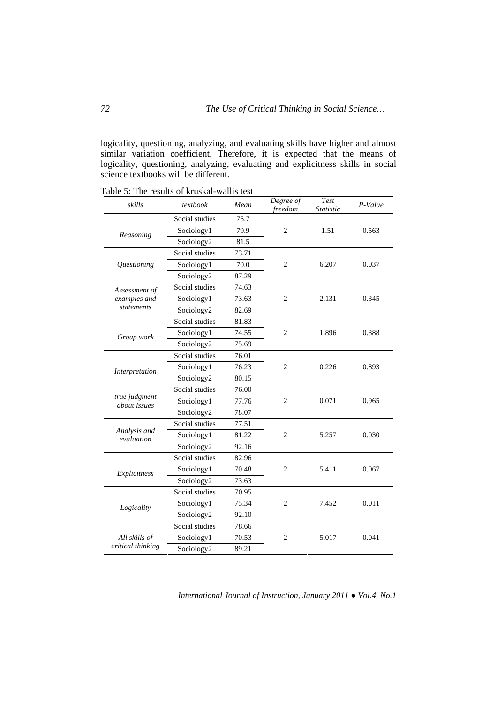logicality, questioning, analyzing, and evaluating skills have higher and almost similar variation coefficient. Therefore, it is expected that the means of logicality, questioning, analyzing, evaluating and explicitness skills in social science textbooks will be different.

Table 5: The results of kruskal-wallis test

| skills                           | textbook       | Mean  | Degree of<br>freedom | <b>Test</b><br>Statistic | P-Value |
|----------------------------------|----------------|-------|----------------------|--------------------------|---------|
|                                  | Social studies | 75.7  |                      |                          |         |
| Reasoning                        | Sociology1     | 79.9  | $\overline{2}$       | 1.51                     | 0.563   |
|                                  | Sociology2     | 81.5  |                      |                          |         |
|                                  | Social studies | 73.71 |                      | 6.207                    |         |
| <i><u><b>Ouestioning</b></u></i> | Sociology1     | 70.0  | $\overline{c}$       |                          | 0.037   |
|                                  | Sociology2     | 87.29 |                      |                          |         |
| Assessment of                    | Social studies | 74.63 |                      | 2.131                    |         |
| examples and                     | Sociology1     | 73.63 | $\overline{2}$       |                          | 0.345   |
| statements                       | Sociology2     | 82.69 |                      |                          |         |
|                                  | Social studies | 81.83 |                      | 1.896                    |         |
| Group work                       | Sociology1     | 74.55 | $\overline{2}$       |                          | 0.388   |
|                                  | Sociology2     | 75.69 |                      |                          |         |
|                                  | Social studies | 76.01 |                      | 0.226                    |         |
| Interpretation                   | Sociology1     | 76.23 | $\overline{c}$       |                          | 0.893   |
|                                  | Sociology2     | 80.15 |                      |                          |         |
|                                  | Social studies | 76.00 |                      | 0.071                    |         |
| true judgment<br>about issues    | Sociology1     | 77.76 | $\overline{2}$       |                          | 0.965   |
|                                  | Sociology2     | 78.07 |                      |                          |         |
|                                  | Social studies | 77.51 |                      | 5.257                    |         |
| Analysis and<br>evaluation       | Sociology1     | 81.22 | $\overline{c}$       |                          | 0.030   |
|                                  | Sociology2     | 92.16 |                      |                          |         |
|                                  | Social studies | 82.96 |                      | 5.411                    |         |
| Explicitness                     | Sociology1     | 70.48 | $\overline{2}$       |                          | 0.067   |
|                                  | Sociology2     | 73.63 |                      |                          |         |
|                                  | Social studies | 70.95 |                      |                          |         |
| Logicality                       | Sociology1     | 75.34 | $\overline{2}$       | 7.452                    | 0.011   |
|                                  | Sociology2     | 92.10 |                      |                          |         |
|                                  | Social studies | 78.66 |                      |                          |         |
| All skills of                    | Sociology1     | 70.53 | 2                    | 5.017                    | 0.041   |
| critical thinking                | Sociology2     | 89.21 |                      |                          |         |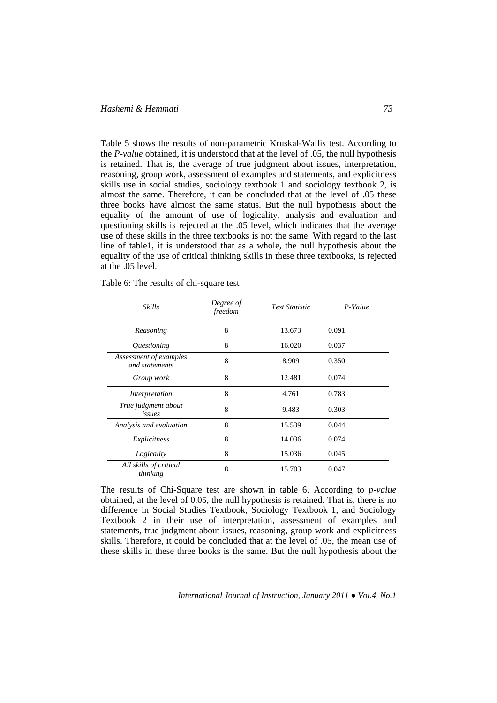## *Hashemi & Hemmati 73*

Table 5 shows the results of non-parametric Kruskal-Wallis test. According to the *P-value* obtained, it is understood that at the level of .05, the null hypothesis is retained. That is, the average of true judgment about issues, interpretation, reasoning, group work, assessment of examples and statements, and explicitness skills use in social studies, sociology textbook 1 and sociology textbook 2, is almost the same. Therefore, it can be concluded that at the level of .05 these three books have almost the same status. But the null hypothesis about the equality of the amount of use of logicality, analysis and evaluation and questioning skills is rejected at the .05 level, which indicates that the average use of these skills in the three textbooks is not the same. With regard to the last line of table1, it is understood that as a whole, the null hypothesis about the equality of the use of critical thinking skills in these three textbooks, is rejected at the .05 level.

| Skills                                   | Degree of<br>freedom | <b>Test Statistic</b> | P-Value |  |
|------------------------------------------|----------------------|-----------------------|---------|--|
| Reasoning                                | 8                    | 13.673                | 0.091   |  |
| <i><u><b>Ouestioning</b></u></i>         | 8                    | 16.020                | 0.037   |  |
| Assessment of examples<br>and statements | 8                    | 8.909                 | 0.350   |  |
| Group work                               | 8                    | 12.481                | 0.074   |  |
| Interpretation                           | 8                    | 4.761                 | 0.783   |  |
| True judgment about<br>issues            | 8                    | 9.483                 | 0.303   |  |
| Analysis and evaluation                  | 8                    | 15.539                | 0.044   |  |
| Explicitness                             | 8                    | 14.036                | 0.074   |  |
| Logicality                               | 8                    | 15.036                | 0.045   |  |
| All skills of critical<br>thinking       | 8                    | 15.703                | 0.047   |  |

Table 6: The results of chi-square test

The results of Chi-Square test are shown in table 6. According to *p-value* obtained, at the level of 0.05, the null hypothesis is retained. That is, there is no difference in Social Studies Textbook, Sociology Textbook 1, and Sociology Textbook 2 in their use of interpretation, assessment of examples and statements, true judgment about issues, reasoning, group work and explicitness skills. Therefore, it could be concluded that at the level of .05, the mean use of these skills in these three books is the same. But the null hypothesis about the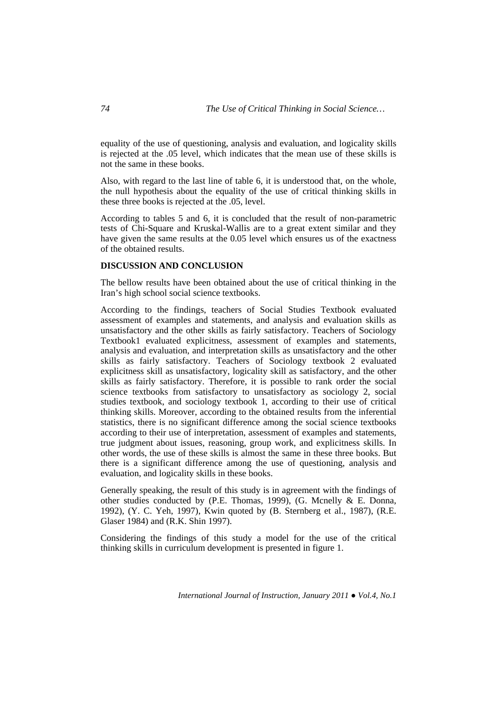equality of the use of questioning, analysis and evaluation, and logicality skills is rejected at the .05 level, which indicates that the mean use of these skills is not the same in these books.

Also, with regard to the last line of table 6, it is understood that, on the whole, the null hypothesis about the equality of the use of critical thinking skills in these three books is rejected at the .05, level.

According to tables 5 and 6, it is concluded that the result of non-parametric tests of Chi-Square and Kruskal-Wallis are to a great extent similar and they have given the same results at the 0.05 level which ensures us of the exactness of the obtained results.

## **DISCUSSION AND CONCLUSION**

The bellow results have been obtained about the use of critical thinking in the Iran's high school social science textbooks.

According to the findings, teachers of Social Studies Textbook evaluated assessment of examples and statements, and analysis and evaluation skills as unsatisfactory and the other skills as fairly satisfactory. Teachers of Sociology Textbook1 evaluated explicitness, assessment of examples and statements, analysis and evaluation, and interpretation skills as unsatisfactory and the other skills as fairly satisfactory. Teachers of Sociology textbook 2 evaluated explicitness skill as unsatisfactory, logicality skill as satisfactory, and the other skills as fairly satisfactory. Therefore, it is possible to rank order the social science textbooks from satisfactory to unsatisfactory as sociology 2, social studies textbook, and sociology textbook 1, according to their use of critical thinking skills. Moreover, according to the obtained results from the inferential statistics, there is no significant difference among the social science textbooks according to their use of interpretation, assessment of examples and statements, true judgment about issues, reasoning, group work, and explicitness skills. In other words, the use of these skills is almost the same in these three books. But there is a significant difference among the use of questioning, analysis and evaluation, and logicality skills in these books.

Generally speaking, the result of this study is in agreement with the findings of other studies conducted by (P.E. Thomas, 1999), (G. Mcnelly & E. Donna, 1992), (Y. C. Yeh, 1997), Kwin quoted by (B. Sternberg et al., 1987), (R.E. Glaser 1984) and (R.K. Shin 1997).

Considering the findings of this study a model for the use of the critical thinking skills in curriculum development is presented in figure 1.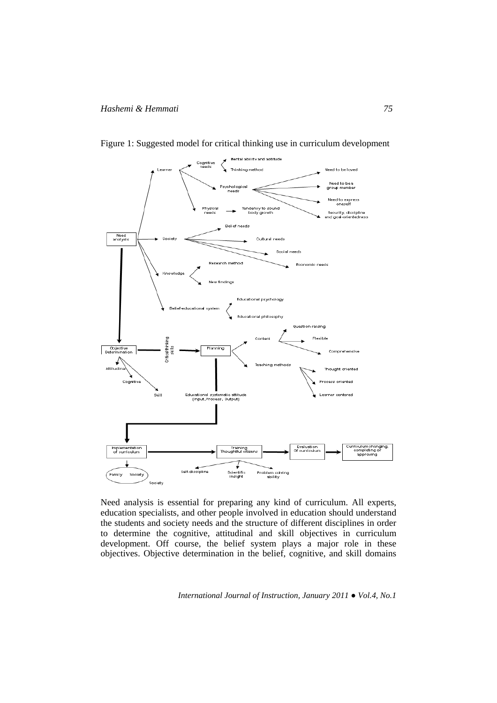

Figure 1: Suggested model for critical thinking use in curriculum development

Need analysis is essential for preparing any kind of curriculum. All experts, education specialists, and other people involved in education should understand the students and society needs and the structure of different disciplines in order to determine the cognitive, attitudinal and skill objectives in curriculum development. Off course, the belief system plays a major role in these objectives. Objective determination in the belief, cognitive, and skill domains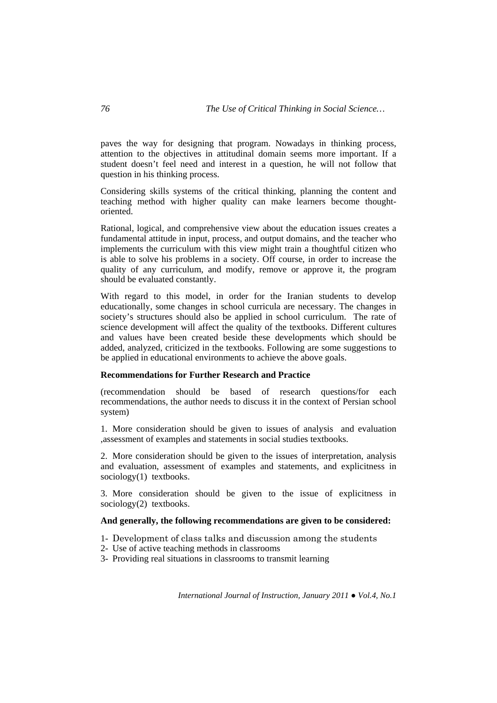paves the way for designing that program. Nowadays in thinking process, attention to the objectives in attitudinal domain seems more important. If a student doesn't feel need and interest in a question, he will not follow that question in his thinking process.

Considering skills systems of the critical thinking, planning the content and teaching method with higher quality can make learners become thoughtoriented.

Rational, logical, and comprehensive view about the education issues creates a fundamental attitude in input, process, and output domains, and the teacher who implements the curriculum with this view might train a thoughtful citizen who is able to solve his problems in a society. Off course, in order to increase the quality of any curriculum, and modify, remove or approve it, the program should be evaluated constantly.

With regard to this model, in order for the Iranian students to develop educationally, some changes in school curricula are necessary. The changes in society's structures should also be applied in school curriculum. The rate of science development will affect the quality of the textbooks. Different cultures and values have been created beside these developments which should be added, analyzed, criticized in the textbooks. Following are some suggestions to be applied in educational environments to achieve the above goals.

#### **Recommendations for Further Research and Practice**

(recommendation should be based of research questions/for each recommendations, the author needs to discuss it in the context of Persian school system)

1. More consideration should be given to issues of analysis and evaluation ,assessment of examples and statements in social studies textbooks.

2. More consideration should be given to the issues of interpretation, analysis and evaluation, assessment of examples and statements, and explicitness in sociology(1) textbooks.

3. More consideration should be given to the issue of explicitness in sociology(2) textbooks.

# **And generally, the following recommendations are given to be considered:**

- 1- Development of class talks and discussion among the students
- 2- Use of active teaching methods in classrooms
- 3- Providing real situations in classrooms to transmit learning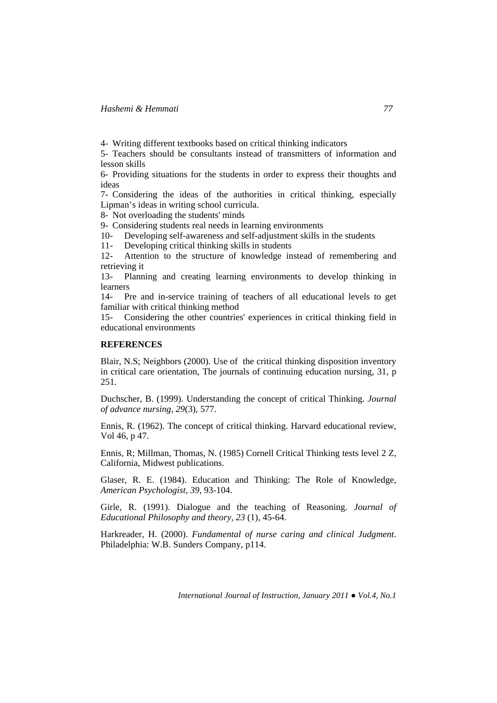4- Writing different textbooks based on critical thinking indicators

5- Teachers should be consultants instead of transmitters of information and lesson skills

6- Providing situations for the students in order to express their thoughts and ideas

7- Considering the ideas of the authorities in critical thinking, especially Lipman's ideas in writing school curricula.

8- Not overloading the students' minds

9- Considering students real needs in learning environments

10- Developing self-awareness and self-adjustment skills in the students

11- Developing critical thinking skills in students

12- Attention to the structure of knowledge instead of remembering and retrieving it

13- Planning and creating learning environments to develop thinking in learners

14- Pre and in-service training of teachers of all educational levels to get familiar with critical thinking method

15- Considering the other countries' experiences in critical thinking field in educational environments

# **REFERENCES**

Blair, N.S; Neighbors (2000). Use of the critical thinking disposition inventory in critical care orientation, The journals of continuing education nursing, 31, p 251.

Duchscher, B. (1999). Understanding the concept of critical Thinking. *Journal of advance nursing, 29*(3), 577.

Ennis, R. (1962). The concept of critical thinking. Harvard educational review, Vol 46, p 47.

Ennis, R; Millman, Thomas, N. (1985) Cornell Critical Thinking tests level 2 Z, California, Midwest publications.

Glaser, R. E. (1984). Education and Thinking: The Role of Knowledge, *American Psychologist, 39*, 93-104.

Girle, R. (1991). Dialogue and the teaching of Reasoning. *Journal of Educational Philosophy and theory, 23* (1), 45-64.

Harkreader, H. (2000). *Fundamental of nurse caring and clinical Judgment*. Philadelphia: W.B. Sunders Company, p114.